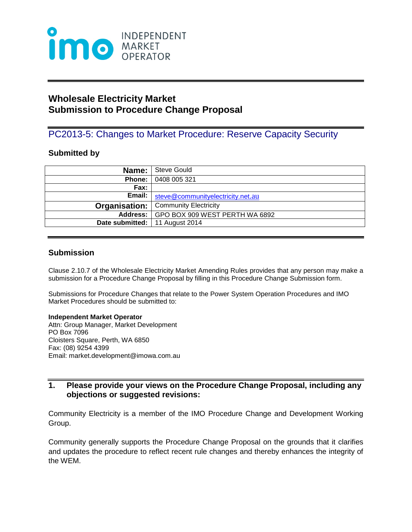

# **Wholesale Electricity Market Submission to Procedure Change Proposal**

## PC2013-5: Changes to Market Procedure: Reserve Capacity Security

#### **Submitted by**

| Name:                            | Steve Gould                                  |
|----------------------------------|----------------------------------------------|
| Phone:                           | 0408 005 321                                 |
| Fax:                             |                                              |
| Email:                           | steve@communityelectricity.net.au            |
|                                  | <b>Organisation:</b>   Community Electricity |
|                                  | Address: GPO BOX 909 WEST PERTH WA 6892      |
| Date submitted:   11 August 2014 |                                              |

#### **Submission**

Clause 2.10.7 of the Wholesale Electricity Market Amending Rules provides that any person may make a submission for a Procedure Change Proposal by filling in this Procedure Change Submission form.

Submissions for Procedure Changes that relate to the Power System Operation Procedures and IMO Market Procedures should be submitted to:

#### **Independent Market Operator**

Attn: Group Manager, Market Development PO Box 7096 Cloisters Square, Perth, WA 6850 Fax: (08) 9254 4399 Email: market.development@imowa.com.au

### **1. Please provide your views on the Procedure Change Proposal, including any objections or suggested revisions:**

Community Electricity is a member of the IMO Procedure Change and Development Working Group.

Community generally supports the Procedure Change Proposal on the grounds that it clarifies and updates the procedure to reflect recent rule changes and thereby enhances the integrity of the WEM.